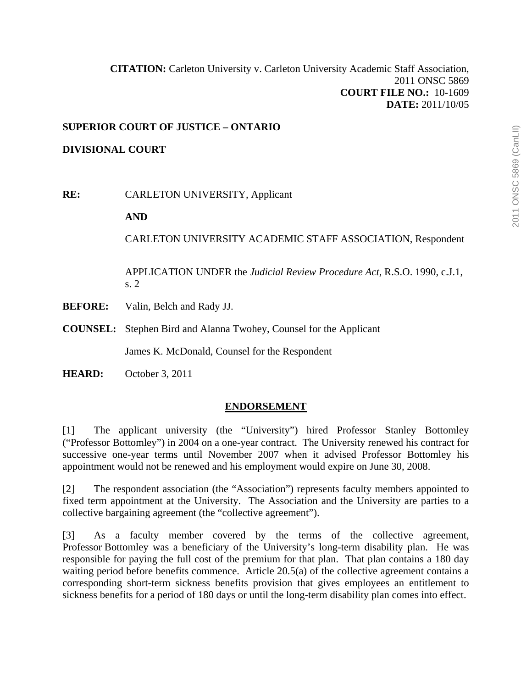# **SUPERIOR COURT OF JUSTICE – ONTARIO**

## **DIVISIONAL COURT**

**RE:** CARLETON UNIVERSITY, Applicant

**AND** 

CARLETON UNIVERSITY ACADEMIC STAFF ASSOCIATION, Respondent

APPLICATION UNDER the *Judicial Review Procedure Act*, R.S.O. 1990, c.J.1, s. 2

- **BEFORE:** Valin, Belch and Rady JJ.
- **COUNSEL:** Stephen Bird and Alanna Twohey, Counsel for the Applicant

James K. McDonald, Counsel for the Respondent

**HEARD:** October 3, 2011

## **ENDORSEMENT**

[1] The applicant university (the "University") hired Professor Stanley Bottomley ("Professor Bottomley") in 2004 on a one-year contract. The University renewed his contract for successive one-year terms until November 2007 when it advised Professor Bottomley his appointment would not be renewed and his employment would expire on June 30, 2008.

[2] The respondent association (the "Association") represents faculty members appointed to fixed term appointment at the University. The Association and the University are parties to a collective bargaining agreement (the "collective agreement").

[3] As a faculty member covered by the terms of the collective agreement, Professor Bottomley was a beneficiary of the University's long-term disability plan. He was responsible for paying the full cost of the premium for that plan. That plan contains a 180 day waiting period before benefits commence. Article 20.5(a) of the collective agreement contains a corresponding short-term sickness benefits provision that gives employees an entitlement to sickness benefits for a period of 180 days or until the long-term disability plan comes into effect.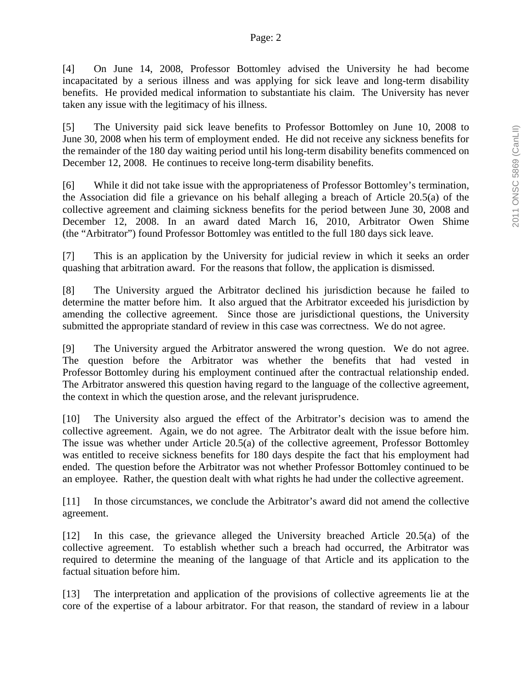[4] On June 14, 2008, Professor Bottomley advised the University he had become incapacitated by a serious illness and was applying for sick leave and long-term disability benefits. He provided medical information to substantiate his claim. The University has never taken any issue with the legitimacy of his illness.

[5] The University paid sick leave benefits to Professor Bottomley on June 10, 2008 to June 30, 2008 when his term of employment ended. He did not receive any sickness benefits for the remainder of the 180 day waiting period until his long-term disability benefits commenced on December 12, 2008. He continues to receive long-term disability benefits.

[6] While it did not take issue with the appropriateness of Professor Bottomley's termination, the Association did file a grievance on his behalf alleging a breach of Article 20.5(a) of the collective agreement and claiming sickness benefits for the period between June 30, 2008 and December 12, 2008. In an award dated March 16, 2010, Arbitrator Owen Shime (the "Arbitrator") found Professor Bottomley was entitled to the full 180 days sick leave.

[7] This is an application by the University for judicial review in which it seeks an order quashing that arbitration award. For the reasons that follow, the application is dismissed.

[8] The University argued the Arbitrator declined his jurisdiction because he failed to determine the matter before him. It also argued that the Arbitrator exceeded his jurisdiction by amending the collective agreement. Since those are jurisdictional questions, the University submitted the appropriate standard of review in this case was correctness. We do not agree.

[9] The University argued the Arbitrator answered the wrong question. We do not agree. The question before the Arbitrator was whether the benefits that had vested in Professor Bottomley during his employment continued after the contractual relationship ended. The Arbitrator answered this question having regard to the language of the collective agreement, the context in which the question arose, and the relevant jurisprudence.

[10] The University also argued the effect of the Arbitrator's decision was to amend the collective agreement. Again, we do not agree. The Arbitrator dealt with the issue before him. The issue was whether under Article 20.5(a) of the collective agreement, Professor Bottomley was entitled to receive sickness benefits for 180 days despite the fact that his employment had ended. The question before the Arbitrator was not whether Professor Bottomley continued to be an employee. Rather, the question dealt with what rights he had under the collective agreement.

[11] In those circumstances, we conclude the Arbitrator's award did not amend the collective agreement.

[12] In this case, the grievance alleged the University breached Article 20.5(a) of the collective agreement. To establish whether such a breach had occurred, the Arbitrator was required to determine the meaning of the language of that Article and its application to the factual situation before him.

[13] The interpretation and application of the provisions of collective agreements lie at the core of the expertise of a labour arbitrator. For that reason, the standard of review in a labour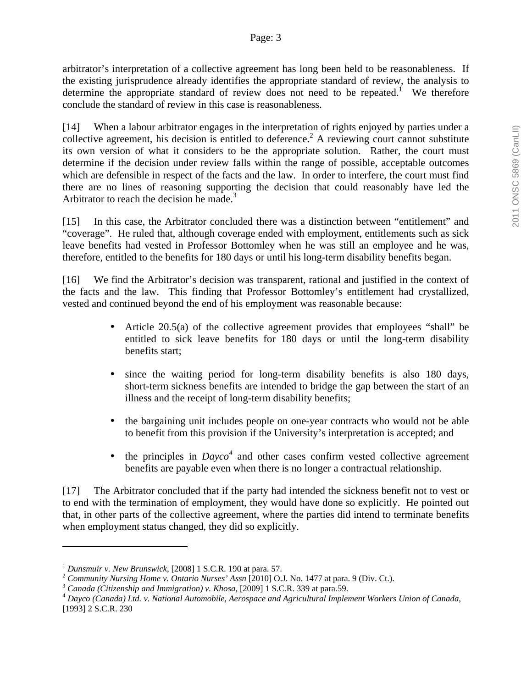arbitrator's interpretation of a collective agreement has long been held to be reasonableness. If the existing jurisprudence already identifies the appropriate standard of review, the analysis to determine the appropriate standard of review does not need to be repeated.<sup>1</sup> We therefore conclude the standard of review in this case is reasonableness.

[14] When a labour arbitrator engages in the interpretation of rights enjoyed by parties under a collective agreement, his decision is entitled to deference.<sup>2</sup> A reviewing court cannot substitute its own version of what it considers to be the appropriate solution. Rather, the court must determine if the decision under review falls within the range of possible, acceptable outcomes which are defensible in respect of the facts and the law. In order to interfere, the court must find there are no lines of reasoning supporting the decision that could reasonably have led the Arbitrator to reach the decision he made.<sup>3</sup>

[15] In this case, the Arbitrator concluded there was a distinction between "entitlement" and "coverage". He ruled that, although coverage ended with employment, entitlements such as sick leave benefits had vested in Professor Bottomley when he was still an employee and he was, therefore, entitled to the benefits for 180 days or until his long-term disability benefits began.

[16] We find the Arbitrator's decision was transparent, rational and justified in the context of the facts and the law. This finding that Professor Bottomley's entitlement had crystallized, vested and continued beyond the end of his employment was reasonable because:

- Article 20.5(a) of the collective agreement provides that employees "shall" be entitled to sick leave benefits for 180 days or until the long-term disability benefits start;
- since the waiting period for long-term disability benefits is also 180 days, short-term sickness benefits are intended to bridge the gap between the start of an illness and the receipt of long-term disability benefits;
- the bargaining unit includes people on one-year contracts who would not be able to benefit from this provision if the University's interpretation is accepted; and
- $\bullet$  the principles in *Dayco*<sup>4</sup> and other cases confirm vested collective agreement benefits are payable even when there is no longer a contractual relationship.

[17] The Arbitrator concluded that if the party had intended the sickness benefit not to vest or to end with the termination of employment, they would have done so explicitly. He pointed out that, in other parts of the collective agreement, where the parties did intend to terminate benefits when employment status changed, they did so explicitly.

 $\overline{a}$ 

<sup>&</sup>lt;sup>1</sup> Dunsmuir v. New Brunswick, [2008] 1 S.C.R. 190 at para. 57.<br>
<sup>2</sup> Community Nursing Home v. Ontario Nurses' Assn [2010] O.J. No. 1477 at para. 9 (Div. Ct.).<br>
<sup>3</sup> Canada (Citizenship and Immigration) v. Khosa, [2009] 1 [1993] 2 S.C.R. 230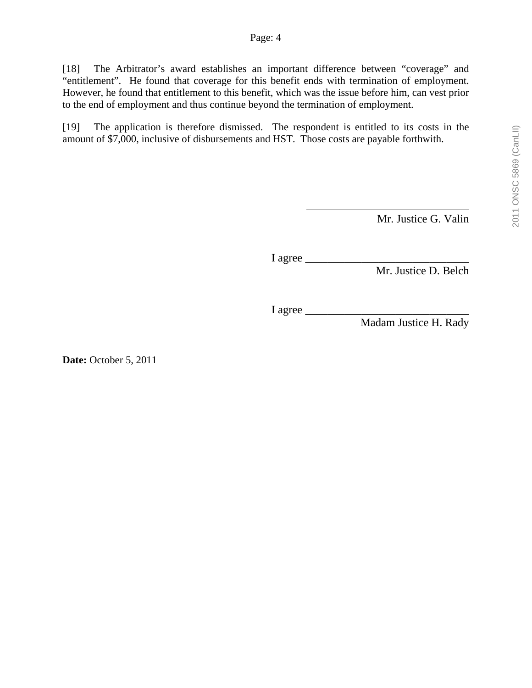[18] The Arbitrator's award establishes an important difference between "coverage" and "entitlement". He found that coverage for this benefit ends with termination of employment. However, he found that entitlement to this benefit, which was the issue before him, can vest prior to the end of employment and thus continue beyond the termination of employment.

[19] The application is therefore dismissed. The respondent is entitled to its costs in the amount of \$7,000, inclusive of disbursements and HST. Those costs are payable forthwith.

Mr. Justice G. Valin

I agree

Mr. Justice D. Belch

I agree

Madam Justice H. Rady

**Date:** October 5, 2011